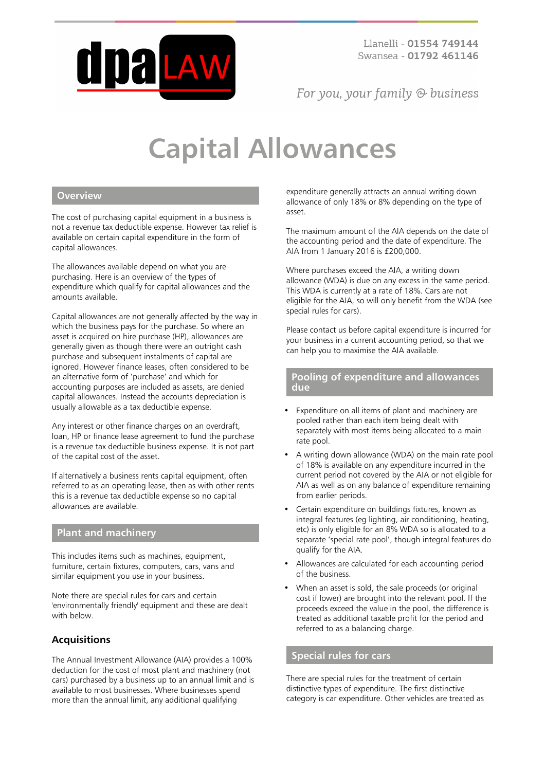

For you, your family  $\odot$  business

# **Capital Allowances**

## **Overview**

The cost of purchasing capital equipment in a business is not a revenue tax deductible expense. However tax relief is available on certain capital expenditure in the form of capital allowances.

The allowances available depend on what you are purchasing. Here is an overview of the types of expenditure which qualify for capital allowances and the amounts available.

Capital allowances are not generally affected by the way in which the business pays for the purchase. So where an asset is acquired on hire purchase (HP), allowances are generally given as though there were an outright cash purchase and subsequent instalments of capital are ignored. However finance leases, often considered to be an alternative form of 'purchase' and which for accounting purposes are included as assets, are denied capital allowances. Instead the accounts depreciation is usually allowable as a tax deductible expense.

Any interest or other finance charges on an overdraft, loan, HP or finance lease agreement to fund the purchase is a revenue tax deductible business expense. It is not part of the capital cost of the asset.

If alternatively a business rents capital equipment, often referred to as an operating lease, then as with other rents this is a revenue tax deductible expense so no capital allowances are available.

## **Plant and machinery**

This includes items such as machines, equipment, furniture, certain fixtures, computers, cars, vans and similar equipment you use in your business.

Note there are special rules for cars and certain 'environmentally friendly' equipment and these are dealt with below.

## **Acquisitions**

The Annual Investment Allowance (AIA) provides a 100% deduction for the cost of most plant and machinery (not cars) purchased by a business up to an annual limit and is available to most businesses. Where businesses spend more than the annual limit, any additional qualifying

expenditure generally attracts an annual writing down allowance of only 18% or 8% depending on the type of asset.

The maximum amount of the AIA depends on the date of the accounting period and the date of expenditure. The AIA from 1 January 2016 is £200,000.

Where purchases exceed the AIA, a writing down allowance (WDA) is due on any excess in the same period. This WDA is currently at a rate of 18%. Cars are not eligible for the AIA, so will only benefit from the WDA (see special rules for cars).

Please contact us before capital expenditure is incurred for your business in a current accounting period, so that we can help you to maximise the AIA available.

#### **Pooling of expenditure and allowances due**

- Expenditure on all items of plant and machinery are pooled rather than each item being dealt with separately with most items being allocated to a main rate pool.
- A writing down allowance (WDA) on the main rate pool of 18% is available on any expenditure incurred in the current period not covered by the AIA or not eligible for AIA as well as on any balance of expenditure remaining from earlier periods.
- Certain expenditure on buildings fixtures, known as integral features (eg lighting, air conditioning, heating, etc) is only eligible for an 8% WDA so is allocated to a separate 'special rate pool', though integral features do qualify for the AIA.
- Allowances are calculated for each accounting period of the business.
- When an asset is sold, the sale proceeds (or original cost if lower) are brought into the relevant pool. If the proceeds exceed the value in the pool, the difference is treated as additional taxable profit for the period and referred to as a balancing charge.

## **Special rules for cars**

There are special rules for the treatment of certain distinctive types of expenditure. The first distinctive category is car expenditure. Other vehicles are treated as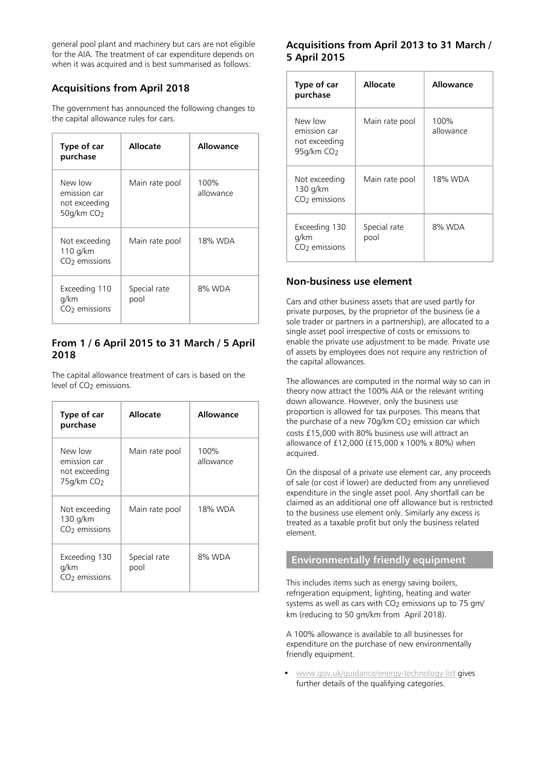general pool plant and machinery but cars are not eligible for the AIA. The treatment of car expenditure depends on when it was acquired and is best summarised as follows:

## **Acquisitions from April 2018**

The government has announced the following changes to the capital allowance rules for cars.

| Type of car<br>purchase                                            | Allocate             | Allowance         |
|--------------------------------------------------------------------|----------------------|-------------------|
| New low<br>emission car<br>not exceeding<br>50g/km CO <sub>2</sub> | Main rate pool       | 100%<br>allowance |
| Not exceeding<br>110 $q/km$<br>CO <sub>2</sub> emissions           | Main rate pool       | 18% WDA           |
| Exceeding 110<br>g/km<br>CO <sub>2</sub> emissions                 | Special rate<br>pool | 8% WDA            |

## **From 1 / 6 April 2015 to 31 March / 5 April 2018**

The capital allowance treatment of cars is based on the level of CO<sub>2</sub> emissions.

| Type of car<br>purchase                                            | Allocate             | Allowance         |
|--------------------------------------------------------------------|----------------------|-------------------|
| New low<br>emission car<br>not exceeding<br>75g/km CO <sub>2</sub> | Main rate pool       | 100%<br>allowance |
| Not exceeding<br>130 g/km<br>CO <sub>2</sub> emissions             | Main rate pool       | 18% WDA           |
| Exceeding 130<br>g/km<br>CO <sub>2</sub> emissions                 | Special rate<br>pool | 8% WDA            |

## **Acquisitions from April 2013 to 31 March / 5 April 2015**

| Type of car<br>purchase                                              | <b>Allocate</b>      | <b>Allowance</b>  |
|----------------------------------------------------------------------|----------------------|-------------------|
| New low<br>emission car<br>not exceeding<br>$95q/km$ CO <sub>2</sub> | Main rate pool       | 100%<br>allowance |
| Not exceeding<br>130 g/km<br>CO <sub>2</sub> emissions               | Main rate pool       | 18% WDA           |
| Exceeding 130<br>g/km<br>$CO2$ emissions                             | Special rate<br>pool | 8% WDA            |

## **Non-business use element**

Cars and other business assets that are used partly for private purposes, by the proprietor of the business (ie a sole trader or partners in a partnership), are allocated to a single asset pool irrespective of costs or emissions to enable the private use adjustment to be made. Private use of assets by employees does not require any restriction of the capital allowances.

The allowances are computed in the normal way so can in theory now attract the 100% AIA or the relevant writing down allowance. However, only the business use proportion is allowed for tax purposes. This means that the purchase of a new 70g/km CO<sub>2</sub> emission car which costs £15,000 with 80% business use will attract an allowance of £12,000 (£15,000 x 100% x 80%) when acquired.

On the disposal of a private use element car, any proceeds of sale (or cost if lower) are deducted from any unrelieved expenditure in the single asset pool. Any shortfall can be claimed as an additional one off allowance but is restricted to the business use element only. Similarly any excess is treated as a taxable profit but only the business related element.

## **Environmentally friendly equipment**

This includes items such as energy saving boilers, refrigeration equipment, lighting, heating and water systems as well as cars with CO2 emissions up to 75 gm/ km (reducing to 50 gm/km from April 2018).

A 100% allowance is available to all businesses for expenditure on the purchase of new environmentally friendly equipment.

• [www.gov.uk/guidance/energy-technology-list](https://www.gov.uk/guidance/energy-technology-list) gives further details of the qualifying categories.